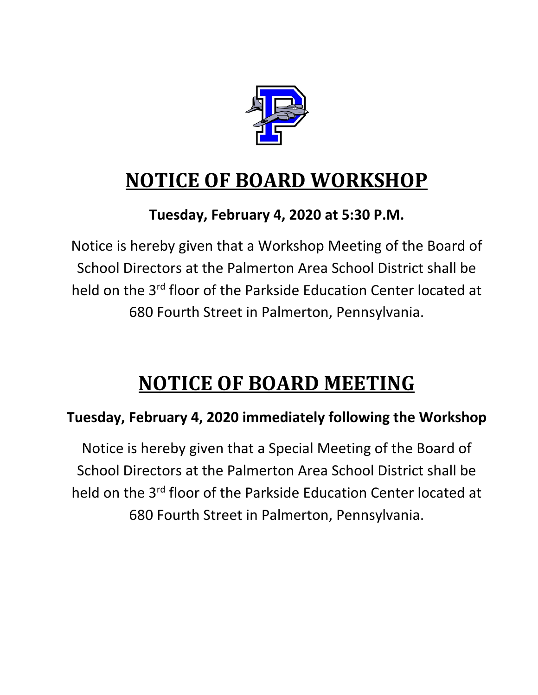

# **NOTICE OF BOARD WORKSHOP**

### **Tuesday, February 4, 2020 at 5:30 P.M.**

Notice is hereby given that a Workshop Meeting of the Board of School Directors at the Palmerton Area School District shall be held on the 3<sup>rd</sup> floor of the Parkside Education Center located at 680 Fourth Street in Palmerton, Pennsylvania.

# **NOTICE OF BOARD MEETING**

### **Tuesday, February 4, 2020 immediately following the Workshop**

Notice is hereby given that a Special Meeting of the Board of School Directors at the Palmerton Area School District shall be held on the 3<sup>rd</sup> floor of the Parkside Education Center located at 680 Fourth Street in Palmerton, Pennsylvania.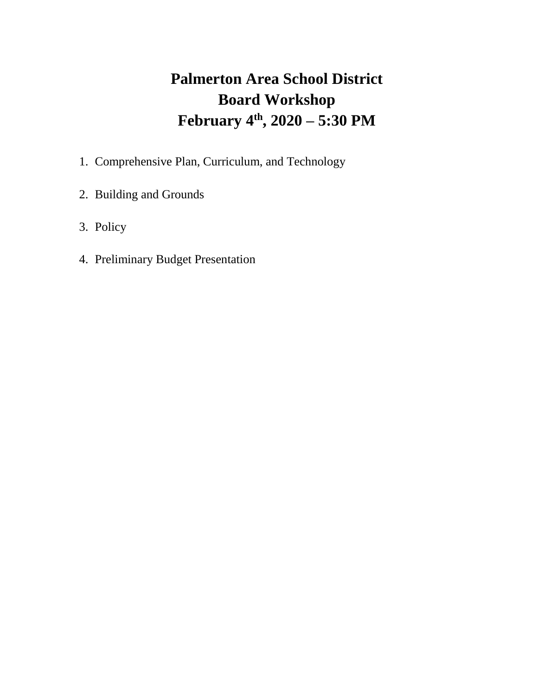## **Palmerton Area School District Board Workshop February 4th, 2020 – 5:30 PM**

- 1. Comprehensive Plan, Curriculum, and Technology
- 2. Building and Grounds
- 3. Policy
- 4. Preliminary Budget Presentation